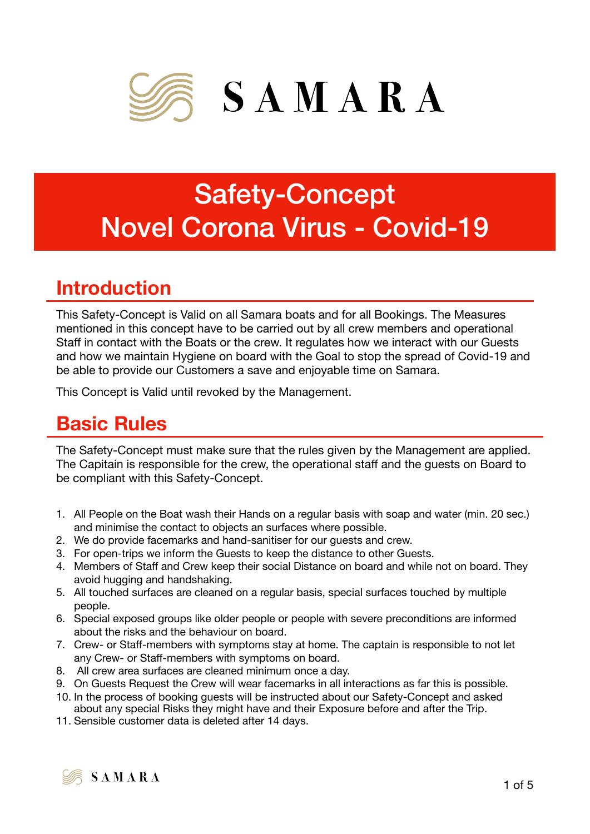

# Safety-Concept Novel Corona Virus - Covid-19

# **Introduction**

This Safety-Concept is Valid on all Samara boats and for all Bookings. The Measures mentioned in this concept have to be carried out by all crew members and operational Staff in contact with the Boats or the crew. It regulates how we interact with our Guests and how we maintain Hygiene on board with the Goal to stop the spread of Covid-19 and be able to provide our Customers a save and enjoyable time on Samara.

This Concept is Valid until revoked by the Management.

# **Basic Rules**

The Safety-Concept must make sure that the rules given by the Management are applied. The Capitain is responsible for the crew, the operational staff and the guests on Board to be compliant with this Safety-Concept.

- 1. All People on the Boat wash their Hands on a regular basis with soap and water (min. 20 sec.) and minimise the contact to objects an surfaces where possible.
- 2. We do provide facemarks and hand-sanitiser for our guests and crew.
- 3. For open-trips we inform the Guests to keep the distance to other Guests.
- 4. Members of Staff and Crew keep their social Distance on board and while not on board. They avoid hugging and handshaking.
- 5. All touched surfaces are cleaned on a regular basis, special surfaces touched by multiple people.
- 6. Special exposed groups like older people or people with severe preconditions are informed about the risks and the behaviour on board.
- 7. Crew- or Staff-members with symptoms stay at home. The captain is responsible to not let any Crew- or Staff-members with symptoms on board.
- 8. All crew area surfaces are cleaned minimum once a day.
- 9. On Guests Request the Crew will wear facemarks in all interactions as far this is possible.
- 10. In the process of booking guests will be instructed about our Safety-Concept and asked about any special Risks they might have and their Exposure before and after the Trip.
- 11. Sensible customer data is deleted after 14 days.

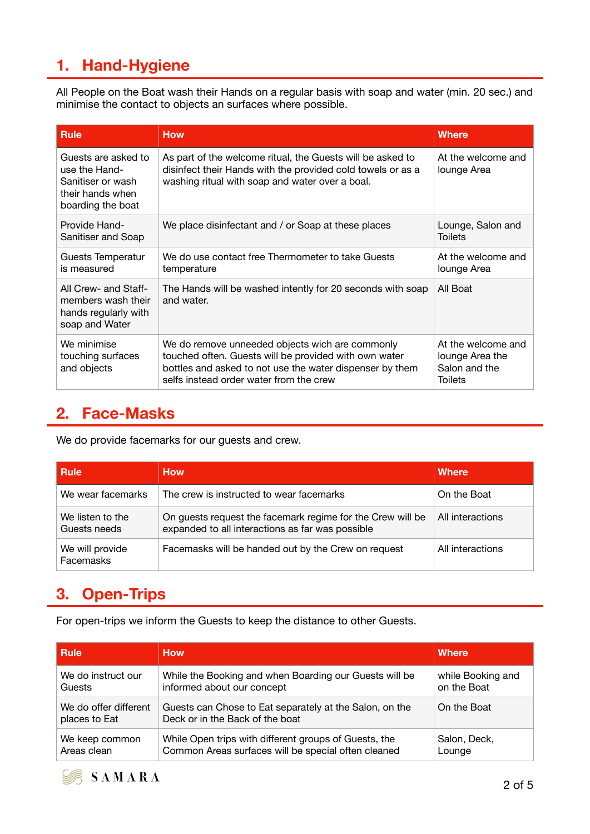# **1. Hand-Hygiene**

All People on the Boat wash their Hands on a regular basis with soap and water (min. 20 sec.) and minimise the contact to objects an surfaces where possible.

| <b>Rule</b>                                                                                        | <b>How</b>                                                                                                                                                                                                      | <b>Where</b>                                                             |
|----------------------------------------------------------------------------------------------------|-----------------------------------------------------------------------------------------------------------------------------------------------------------------------------------------------------------------|--------------------------------------------------------------------------|
| Guests are asked to<br>use the Hand-<br>Sanitiser or wash<br>their hands when<br>boarding the boat | As part of the welcome ritual, the Guests will be asked to<br>disinfect their Hands with the provided cold towels or as a<br>washing ritual with soap and water over a boal.                                    | At the welcome and<br>lounge Area                                        |
| Provide Hand-<br>Sanitiser and Soap                                                                | We place disinfectant and / or Soap at these places                                                                                                                                                             | Lounge, Salon and<br><b>Toilets</b>                                      |
| Guests Temperatur<br>is measured                                                                   | We do use contact free Thermometer to take Guests<br>temperature                                                                                                                                                | At the welcome and<br>lounge Area                                        |
| All Crew- and Staff-<br>members wash their<br>hands regularly with<br>soap and Water               | The Hands will be washed intently for 20 seconds with soap<br>and water.                                                                                                                                        | All Boat                                                                 |
| We minimise<br>touching surfaces<br>and objects                                                    | We do remove unneeded objects wich are commonly<br>touched often. Guests will be provided with own water<br>bottles and asked to not use the water dispenser by them<br>selfs instead order water from the crew | At the welcome and<br>lounge Area the<br>Salon and the<br><b>Toilets</b> |

### **2. Face-Masks**

We do provide facemarks for our guests and crew.

| <b>Rule</b>                      | <b>How</b>                                                                                                     | <b>Where</b>     |
|----------------------------------|----------------------------------------------------------------------------------------------------------------|------------------|
| We wear facemarks                | The crew is instructed to wear facemarks                                                                       | On the Boat      |
| We listen to the<br>Guests needs | On guests request the facemark regime for the Crew will be<br>expanded to all interactions as far was possible | All interactions |
| We will provide<br>Facemasks     | Facemasks will be handed out by the Crew on request                                                            | All interactions |

# **3. Open-Trips**

For open-trips we inform the Guests to keep the distance to other Guests.

| <b>Rule</b>                            | <b>How</b>                                                                                 | <b>Where</b>      |
|----------------------------------------|--------------------------------------------------------------------------------------------|-------------------|
| We do instruct our                     | While the Booking and when Boarding our Guests will be                                     | while Booking and |
| Guests                                 | informed about our concept                                                                 | on the Boat       |
| We do offer different<br>places to Eat | Guests can Chose to Eat separately at the Salon, on the<br>Deck or in the Back of the boat | On the Boat       |
| We keep common                         | While Open trips with different groups of Guests, the                                      | Salon, Deck,      |
| Areas clean                            | Common Areas surfaces will be special often cleaned                                        | Lounge            |

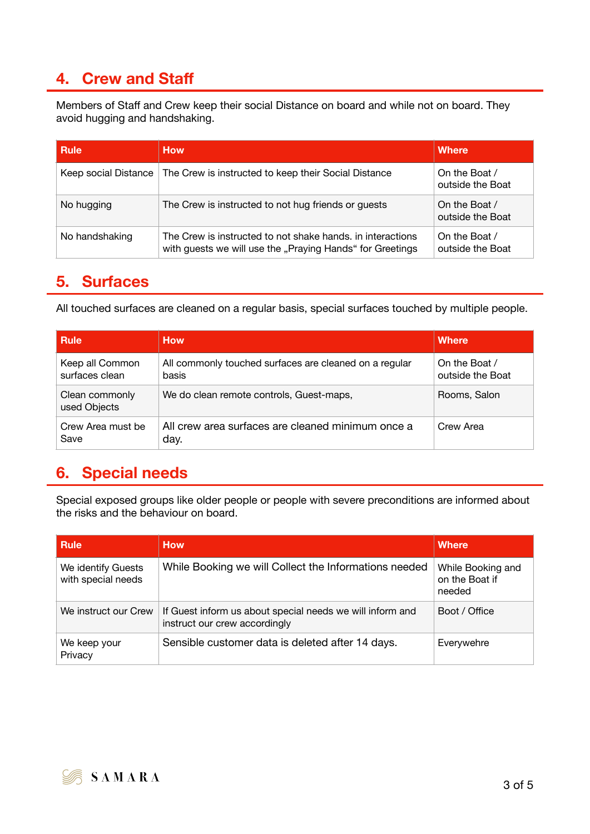# **4. Crew and Staff**

Members of Staff and Crew keep their social Distance on board and while not on board. They avoid hugging and handshaking.

| <b>Rule</b>          | <b>How</b>                                                                                                              | Where                             |
|----------------------|-------------------------------------------------------------------------------------------------------------------------|-----------------------------------|
| Keep social Distance | The Crew is instructed to keep their Social Distance                                                                    | On the Boat /<br>outside the Boat |
| No hugging           | The Crew is instructed to not hug friends or guests                                                                     | On the Boat /<br>outside the Boat |
| No handshaking       | The Crew is instructed to not shake hands, in interactions<br>with guests we will use the "Praying Hands" for Greetings | On the Boat /<br>outside the Boat |

#### **5. Surfaces**

All touched surfaces are cleaned on a regular basis, special surfaces touched by multiple people.

| <b>Rule</b>                       | <b>How</b>                                                      | <b>Where</b>                      |
|-----------------------------------|-----------------------------------------------------------------|-----------------------------------|
| Keep all Common<br>surfaces clean | All commonly touched surfaces are cleaned on a regular<br>basis | On the Boat /<br>outside the Boat |
| Clean commonly<br>used Objects    | We do clean remote controls, Guest-maps,                        | Rooms, Salon                      |
| Crew Area must be<br>Save         | All crew area surfaces are cleaned minimum once a<br>day.       | Crew Area                         |

# **6. Special needs**

Special exposed groups like older people or people with severe preconditions are informed about the risks and the behaviour on board.

| <b>Rule</b>                              | <b>How</b>                                                                                 | <b>Where</b>                                  |
|------------------------------------------|--------------------------------------------------------------------------------------------|-----------------------------------------------|
| We identify Guests<br>with special needs | While Booking we will Collect the Informations needed                                      | While Booking and<br>on the Boat if<br>needed |
| We instruct our Crew                     | If Guest inform us about special needs we will inform and<br>instruct our crew accordingly | Boot / Office                                 |
| We keep your<br>Privacy                  | Sensible customer data is deleted after 14 days.                                           | Everywehre                                    |

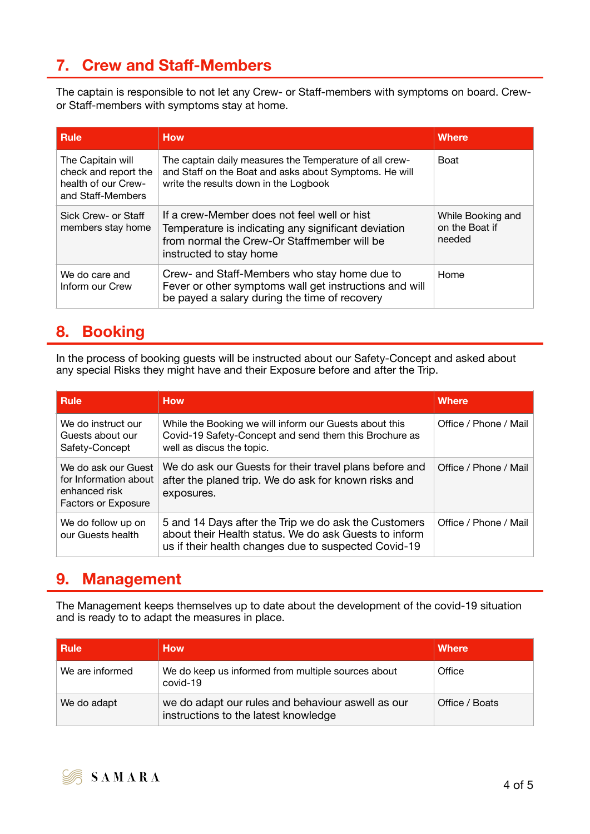# **7. Crew and Staff-Members**

The captain is responsible to not let any Crew- or Staff-members with symptoms on board. Crewor Staff-members with symptoms stay at home.

| <b>Rule</b>                                                                           | <b>How</b>                                                                                                                                                                   | <b>Where</b>                                  |
|---------------------------------------------------------------------------------------|------------------------------------------------------------------------------------------------------------------------------------------------------------------------------|-----------------------------------------------|
| The Capitain will<br>check and report the<br>health of our Crew-<br>and Staff-Members | The captain daily measures the Temperature of all crew-<br>and Staff on the Boat and asks about Symptoms. He will<br>write the results down in the Logbook                   | <b>Boat</b>                                   |
| Sick Crew- or Staff<br>members stay home                                              | If a crew-Member does not feel well or hist<br>Temperature is indicating any significant deviation<br>from normal the Crew-Or Staffmember will be<br>instructed to stay home | While Booking and<br>on the Boat if<br>needed |
| We do care and<br>Inform our Crew                                                     | Crew- and Staff-Members who stay home due to<br>Fever or other symptoms wall get instructions and will<br>be payed a salary during the time of recovery                      | Home                                          |

#### **8. Booking**

In the process of booking guests will be instructed about our Safety-Concept and asked about any special Risks they might have and their Exposure before and after the Trip.

| <b>Rule</b>                                                                                 | <b>How</b>                                                                                                                                                            | <b>Where</b>          |
|---------------------------------------------------------------------------------------------|-----------------------------------------------------------------------------------------------------------------------------------------------------------------------|-----------------------|
| We do instruct our<br>Guests about our<br>Safety-Concept                                    | While the Booking we will inform our Guests about this<br>Covid-19 Safety-Concept and send them this Brochure as<br>well as discus the topic.                         | Office / Phone / Mail |
| We do ask our Guest<br>for Information about<br>enhanced risk<br><b>Factors or Exposure</b> | We do ask our Guests for their travel plans before and<br>after the planed trip. We do ask for known risks and<br>exposures.                                          | Office / Phone / Mail |
| We do follow up on<br>our Guests health                                                     | 5 and 14 Days after the Trip we do ask the Customers<br>about their Health status. We do ask Guests to inform<br>us if their health changes due to suspected Covid-19 | Office / Phone / Mail |

#### **9. Management**

The Management keeps themselves up to date about the development of the covid-19 situation and is ready to to adapt the measures in place.

| <b>Rule</b>     | <b>How</b>                                                                                | <b>Where</b>   |
|-----------------|-------------------------------------------------------------------------------------------|----------------|
| We are informed | We do keep us informed from multiple sources about<br>covid-19                            | Office         |
| We do adapt     | we do adapt our rules and behaviour aswell as our<br>instructions to the latest knowledge | Office / Boats |